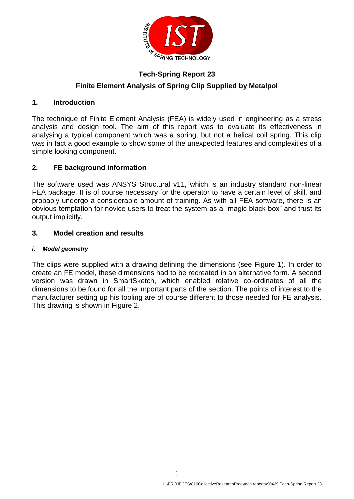

# **Tech-Spring Report 23 Finite Element Analysis of Spring Clip Supplied by Metalpol**

# **1. Introduction**

The technique of Finite Element Analysis (FEA) is widely used in engineering as a stress analysis and design tool. The aim of this report was to evaluate its effectiveness in analysing a typical component which was a spring, but not a helical coil spring. This clip was in fact a good example to show some of the unexpected features and complexities of a simple looking component.

# **2. FE background information**

The software used was ANSYS Structural v11, which is an industry standard non-linear FEA package. It is of course necessary for the operator to have a certain level of skill, and probably undergo a considerable amount of training. As with all FEA software, there is an obvious temptation for novice users to treat the system as a "magic black box" and trust its output implicitly.

### **3. Model creation and results**

### *i. Model geometry*

The clips were supplied with a drawing defining the dimensions (see [Figure 1\)](#page-1-0). In order to create an FE model, these dimensions had to be recreated in an alternative form. A second version was drawn in SmartSketch, which enabled relative co-ordinates of all the dimensions to be found for all the important parts of the section. The points of interest to the manufacturer setting up his tooling are of course different to those needed for FE analysis. This drawing is shown in [Figure 2.](#page-1-1)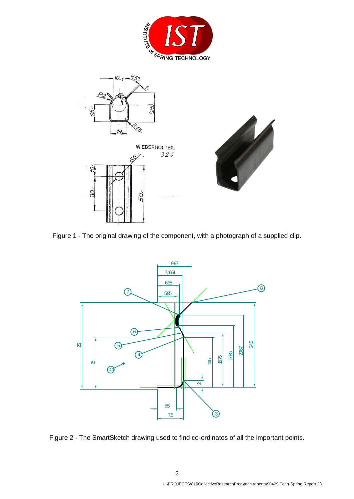





<span id="page-1-0"></span>Figure 1 - The original drawing of the component, with a photograph of a supplied clip.



<span id="page-1-1"></span>Figure 2 - The SmartSketch drawing used to find co-ordinates of all the important points.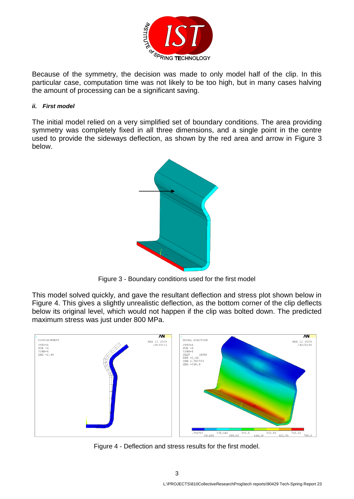

Because of the symmetry, the decision was made to only model half of the clip. In this particular case, computation time was not likely to be too high, but in many cases halving the amount of processing can be a significant saving.

#### *ii. First model*

The initial model relied on a very simplified set of boundary conditions. The area providing symmetry was completely fixed in all three dimensions, and a single point in the centre used to provide the sideways deflection, as shown by the red area and arrow in [Figure 3](#page-2-0) below.



Figure 3 - Boundary conditions used for the first model

<span id="page-2-0"></span>This model solved quickly, and gave the resultant deflection and stress plot shown below in [Figure 4.](#page-2-1) This gives a slightly unrealistic deflection, as the bottom corner of the clip deflects below its original level, which would not happen if the clip was bolted down. The predicted maximum stress was just under 800 MPa.



<span id="page-2-1"></span>Figure 4 - Deflection and stress results for the first model.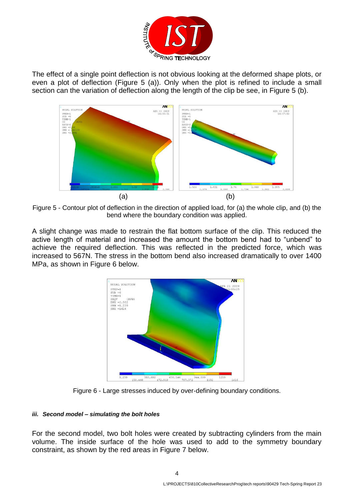

The effect of a single point deflection is not obvious looking at the deformed shape plots, or even a plot of deflection [\(Figure 5](#page-3-0) (a)). Only when the plot is refined to include a small section can the variation of deflection along the length of the clip be see, in [Figure 5](#page-3-0) (b).



<span id="page-3-0"></span>Figure 5 - Contour plot of deflection in the direction of applied load, for (a) the whole clip, and (b) the bend where the boundary condition was applied.

A slight change was made to restrain the flat bottom surface of the clip. This reduced the active length of material and increased the amount the bottom bend had to "unbend" to achieve the required deflection. This was reflected in the predicted force, which was increased to 567N. The stress in the bottom bend also increased dramatically to over 1400 MPa, as shown in [Figure 6](#page-3-1) below.



Figure 6 - Large stresses induced by over-defining boundary conditions.

#### <span id="page-3-1"></span>*iii. Second model – simulating the bolt holes*

For the second model, two bolt holes were created by subtracting cylinders from the main volume. The inside surface of the hole was used to add to the symmetry boundary constraint, as shown by the red areas in [Figure 7](#page-4-0) below.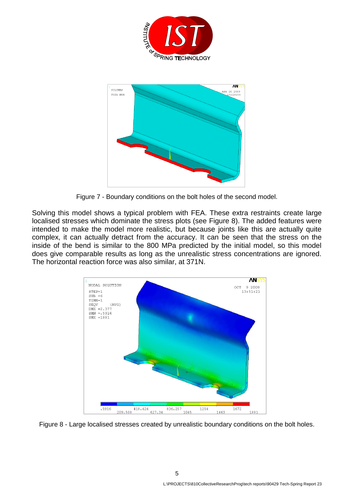



Figure 7 - Boundary conditions on the bolt holes of the second model.

<span id="page-4-0"></span>Solving this model shows a typical problem with FEA. These extra restraints create large localised stresses which dominate the stress plots (see [Figure 8\)](#page-4-1). The added features were intended to make the model more realistic, but because joints like this are actually quite complex, it can actually detract from the accuracy. It can be seen that the stress on the inside of the bend is similar to the 800 MPa predicted by the initial model, so this model does give comparable results as long as the unrealistic stress concentrations are ignored. The horizontal reaction force was also similar, at 371N.



<span id="page-4-1"></span>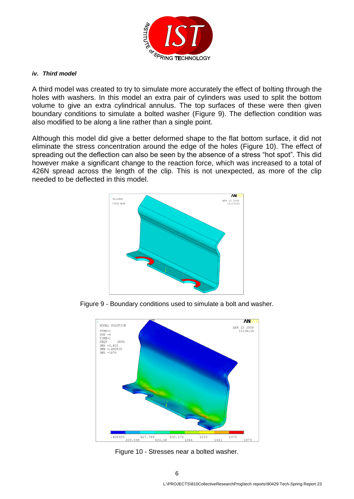

#### *iv. Third model*

A third model was created to try to simulate more accurately the effect of bolting through the holes with washers. In this model an extra pair of cylinders was used to split the bottom volume to give an extra cylindrical annulus. The top surfaces of these were then given boundary conditions to simulate a bolted washer [\(Figure 9\)](#page-5-0). The deflection condition was also modified to be along a line rather than a single point.

Although this model did give a better deformed shape to the flat bottom surface, it did not eliminate the stress concentration around the edge of the holes [\(Figure 10\)](#page-5-1). The effect of spreading out the deflection can also be seen by the absence of a stress "hot spot". This did however make a significant change to the reaction force, which was increased to a total of 426N spread across the length of the clip. This is not unexpected, as more of the clip needed to be deflected in this model.



<span id="page-5-0"></span>Figure 9 - Boundary conditions used to simulate a bolt and washer.



<span id="page-5-1"></span>Figure 10 - Stresses near a bolted washer.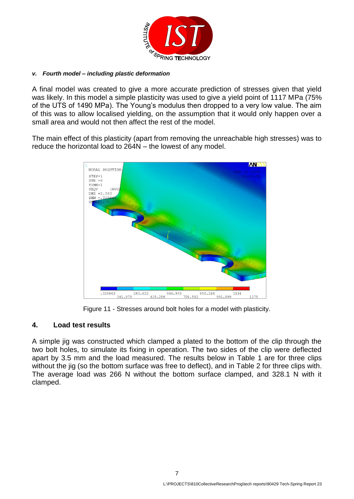

#### *v. Fourth model – including plastic deformation*

A final model was created to give a more accurate prediction of stresses given that yield was likely. In this model a simple plasticity was used to give a yield point of 1117 MPa (75% of the UTS of 1490 MPa). The Young's modulus then dropped to a very low value. The aim of this was to allow localised yielding, on the assumption that it would only happen over a small area and would not then affect the rest of the model.

The main effect of this plasticity (apart from removing the unreachable high stresses) was to reduce the horizontal load to 264N – the lowest of any model.



Figure 11 - Stresses around bolt holes for a model with plasticity.

### **4. Load test results**

A simple jig was constructed which clamped a plated to the bottom of the clip through the two bolt holes, to simulate its fixing in operation. The two sides of the clip were deflected apart by 3.5 mm and the load measured. The results below in [Table 1](#page-7-0) are for three clips without the jig (so the bottom surface was free to deflect), and in [Table 2](#page-7-1) for three clips with. The average load was 266 N without the bottom surface clamped, and 328.1 N with it clamped.